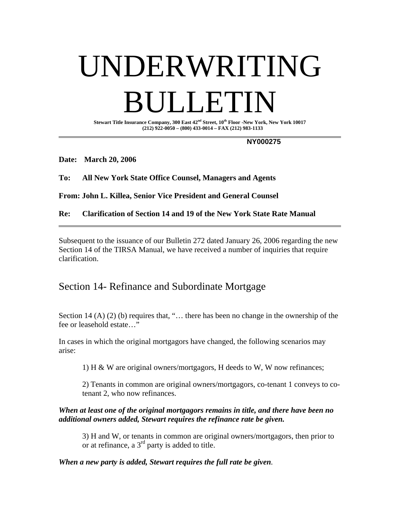# UNDERWRITING **DETECT**

**Stewart Title Insurance Company, 300 East 42nd Street, 10th Floor -New York, New York 10017 (212) 922-0050 – (800) 433-0014 – FAX (212) 983-1133** 

 **NY000275** 

**Date: March 20, 2006** 

**To: All New York State Office Counsel, Managers and Agents** 

**From: John L. Killea, Senior Vice President and General Counsel** 

**Re: Clarification of Section 14 and 19 of the New York State Rate Manual**

Subsequent to the issuance of our Bulletin 272 dated January 26, 2006 regarding the new Section 14 of the TIRSA Manual, we have received a number of inquiries that require clarification.

## Section 14- Refinance and Subordinate Mortgage

Section 14 (A) (2) (b) requires that, "... there has been no change in the ownership of the fee or leasehold estate...'

In cases in which the original mortgagors have changed, the following scenarios may arise:

1) H & W are original owners/mortgagors, H deeds to W, W now refinances;

2) Tenants in common are original owners/mortgagors, co-tenant 1 conveys to cotenant 2, who now refinances.

#### *When at least one of the original mortgagors remains in title, and there have been no additional owners added, Stewart requires the refinance rate be given.*

3) H and W, or tenants in common are original owners/mortgagors, then prior to or at refinance, a 3rd party is added to title.

*When a new party is added, Stewart requires the full rate be given.*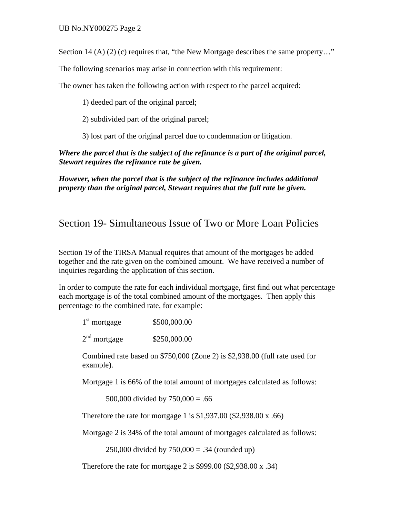Section 14 (A) (2) (c) requires that, "the New Mortgage describes the same property..."

The following scenarios may arise in connection with this requirement:

The owner has taken the following action with respect to the parcel acquired:

1) deeded part of the original parcel;

2) subdivided part of the original parcel;

3) lost part of the original parcel due to condemnation or litigation.

#### *Where the parcel that is the subject of the refinance is a part of the original parcel, Stewart requires the refinance rate be given.*

*However, when the parcel that is the subject of the refinance includes additional property than the original parcel, Stewart requires that the full rate be given.* 

### Section 19- Simultaneous Issue of Two or More Loan Policies

Section 19 of the TIRSA Manual requires that amount of the mortgages be added together and the rate given on the combined amount. We have received a number of inquiries regarding the application of this section.

In order to compute the rate for each individual mortgage, first find out what percentage each mortgage is of the total combined amount of the mortgages. Then apply this percentage to the combined rate, for example:

| $1st$ mortgage | \$500,000.00 |
|----------------|--------------|
| $2nd$ mortgage | \$250,000.00 |

Combined rate based on \$750,000 (Zone 2) is \$2,938.00 (full rate used for example).

Mortgage 1 is 66% of the total amount of mortgages calculated as follows:

500,000 divided by  $750,000 = .66$ 

Therefore the rate for mortgage 1 is \$1,937.00 (\$2,938.00 x .66)

Mortgage 2 is 34% of the total amount of mortgages calculated as follows:

250,000 divided by  $750,000 = .34$  (rounded up)

Therefore the rate for mortgage 2 is \$999.00 (\$2,938.00 x .34)